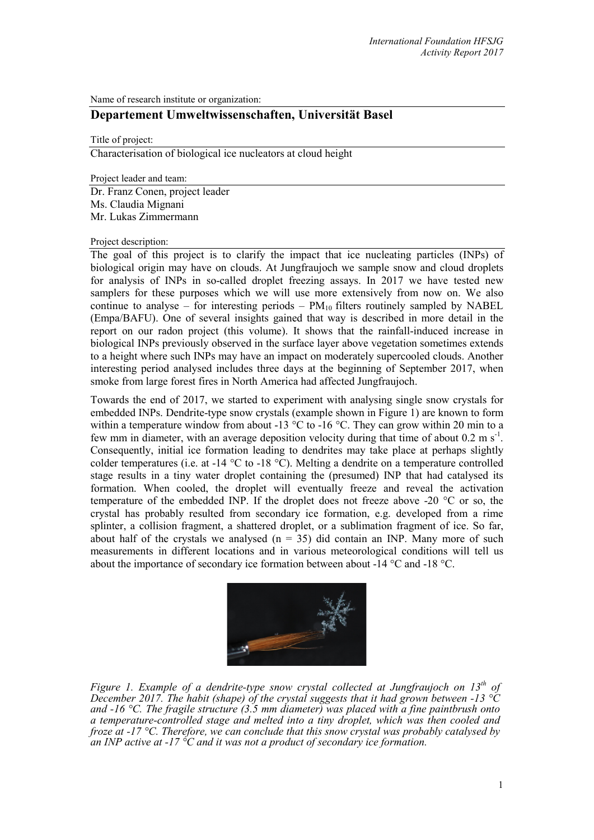Name of research institute or organization:

# **Departement Umweltwissenschaften, Universität Basel**

Title of project:

Characterisation of biological ice nucleators at cloud height

Project leader and team:

Dr. Franz Conen, project leader Ms. Claudia Mignani Mr. Lukas Zimmermann

#### Project description:

The goal of this project is to clarify the impact that ice nucleating particles (INPs) of biological origin may have on clouds. At Jungfraujoch we sample snow and cloud droplets for analysis of INPs in so-called droplet freezing assays. In 2017 we have tested new samplers for these purposes which we will use more extensively from now on. We also continue to analyse – for interesting periods –  $PM_{10}$  filters routinely sampled by NABEL (Empa/BAFU). One of several insights gained that way is described in more detail in the report on our radon project (this volume). It shows that the rainfall-induced increase in biological INPs previously observed in the surface layer above vegetation sometimes extends to a height where such INPs may have an impact on moderately supercooled clouds. Another interesting period analysed includes three days at the beginning of September 2017, when smoke from large forest fires in North America had affected Jungfraujoch.

Towards the end of 2017, we started to experiment with analysing single snow crystals for embedded INPs. Dendrite-type snow crystals (example shown in Figure 1) are known to form within a temperature window from about -13  $^{\circ}$ C to -16  $^{\circ}$ C. They can grow within 20 min to a few mm in diameter, with an average deposition velocity during that time of about  $0.2 \text{ m s}^{-1}$ . Consequently, initial ice formation leading to dendrites may take place at perhaps slightly colder temperatures (i.e. at -14 °C to -18 °C). Melting a dendrite on a temperature controlled stage results in a tiny water droplet containing the (presumed) INP that had catalysed its formation. When cooled, the droplet will eventually freeze and reveal the activation temperature of the embedded INP. If the droplet does not freeze above -20 °C or so, the crystal has probably resulted from secondary ice formation, e.g. developed from a rime splinter, a collision fragment, a shattered droplet, or a sublimation fragment of ice. So far, about half of the crystals we analysed  $(n = 35)$  did contain an INP. Many more of such measurements in different locations and in various meteorological conditions will tell us about the importance of secondary ice formation between about -14 °C and -18 °C.



*Figure 1. Example of a dendrite-type snow crystal collected at Jungfraujoch on 13th of December 2017. The habit (shape) of the crystal suggests that it had grown between -13 °C and -16 °C. The fragile structure (3.5 mm diameter) was placed with a fine paintbrush onto a temperature-controlled stage and melted into a tiny droplet, which was then cooled and froze at -17 °C. Therefore, we can conclude that this snow crystal was probably catalysed by an INP active at -17 °C and it was not a product of secondary ice formation.*